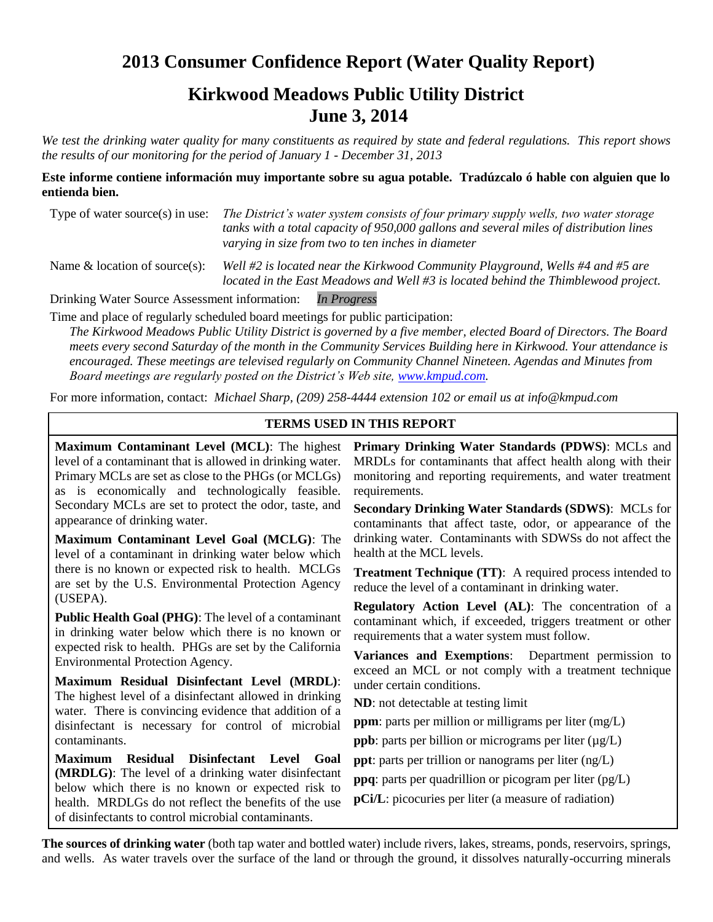# **2013 Consumer Confidence Report (Water Quality Report)**

# **Kirkwood Meadows Public Utility District June 3, 2014**

*We test the drinking water quality for many constituents as required by state and federal regulations. This report shows the results of our monitoring for the period of January 1 - December 31, 2013*

**Este informe contiene información muy importante sobre su agua potable. Tradúzcalo ó hable con alguien que lo entienda bien.**

| Type of water source(s) in use:  | The District's water system consists of four primary supply wells, two water storage<br>tanks with a total capacity of 950,000 gallons and several miles of distribution lines<br>varying in size from two to ten inches in diameter |
|----------------------------------|--------------------------------------------------------------------------------------------------------------------------------------------------------------------------------------------------------------------------------------|
| Name $\&$ location of source(s). | Well #2 is located near the Kirkwood Community Playeround Wells #4 and #5 are                                                                                                                                                        |

Name & location of source(s): *Well #2 is located near the Kirkwood Community Playground, Wells #4 and #5 are located in the East Meadows and Well #3 is located behind the Thimblewood project.*

Drinking Water Source Assessment information: *In Progress*

Time and place of regularly scheduled board meetings for public participation:

*The Kirkwood Meadows Public Utility District is governed by a five member, elected Board of Directors. The Board meets every second Saturday of the month in the Community Services Building here in Kirkwood. Your attendance is encouraged. These meetings are televised regularly on Community Channel Nineteen. Agendas and Minutes from Board meetings are regularly posted on the District's Web site, [www.kmpud.com.](http://www.kmpud.com/)*

For more information, contact: *Michael Sharp, (209) 258-4444 extension 102 or email us at info@kmpud.com*

#### **TERMS USED IN THIS REPORT**

**Maximum Contaminant Level (MCL)**: The highest level of a contaminant that is allowed in drinking water. Primary MCLs are set as close to the PHGs (or MCLGs) as is economically and technologically feasible. Secondary MCLs are set to protect the odor, taste, and appearance of drinking water.

**Maximum Contaminant Level Goal (MCLG)**: The level of a contaminant in drinking water below which there is no known or expected risk to health. MCLGs are set by the U.S. Environmental Protection Agency (USEPA).

**Public Health Goal (PHG)**: The level of a contaminant in drinking water below which there is no known or expected risk to health. PHGs are set by the California Environmental Protection Agency.

**Maximum Residual Disinfectant Level (MRDL)**: The highest level of a disinfectant allowed in drinking water. There is convincing evidence that addition of a disinfectant is necessary for control of microbial contaminants.

**Maximum Residual Disinfectant Level Goal (MRDLG)**: The level of a drinking water disinfectant below which there is no known or expected risk to health. MRDLGs do not reflect the benefits of the use of disinfectants to control microbial contaminants.

**Primary Drinking Water Standards (PDWS)**: MCLs and MRDLs for contaminants that affect health along with their monitoring and reporting requirements, and water treatment requirements.

**Secondary Drinking Water Standards (SDWS)**:MCLs for contaminants that affect taste, odor, or appearance of the drinking water. Contaminants with SDWSs do not affect the health at the MCL levels.

**Treatment Technique (TT)**: A required process intended to reduce the level of a contaminant in drinking water.

**Regulatory Action Level (AL)**: The concentration of a contaminant which, if exceeded, triggers treatment or other requirements that a water system must follow.

**Variances and Exemptions**: Department permission to exceed an MCL or not comply with a treatment technique under certain conditions.

**ND**: not detectable at testing limit

**ppm**: parts per million or milligrams per liter (mg/L)

**ppb**: parts per billion or micrograms per liter  $(\mu g/L)$ 

**ppt**: parts per trillion or nanograms per liter (ng/L)

**ppq**: parts per quadrillion or picogram per liter (pg/L)

**pCi/L**: picocuries per liter (a measure of radiation)

**The sources of drinking water** (both tap water and bottled water) include rivers, lakes, streams, ponds, reservoirs, springs, and wells. As water travels over the surface of the land or through the ground, it dissolves naturally-occurring minerals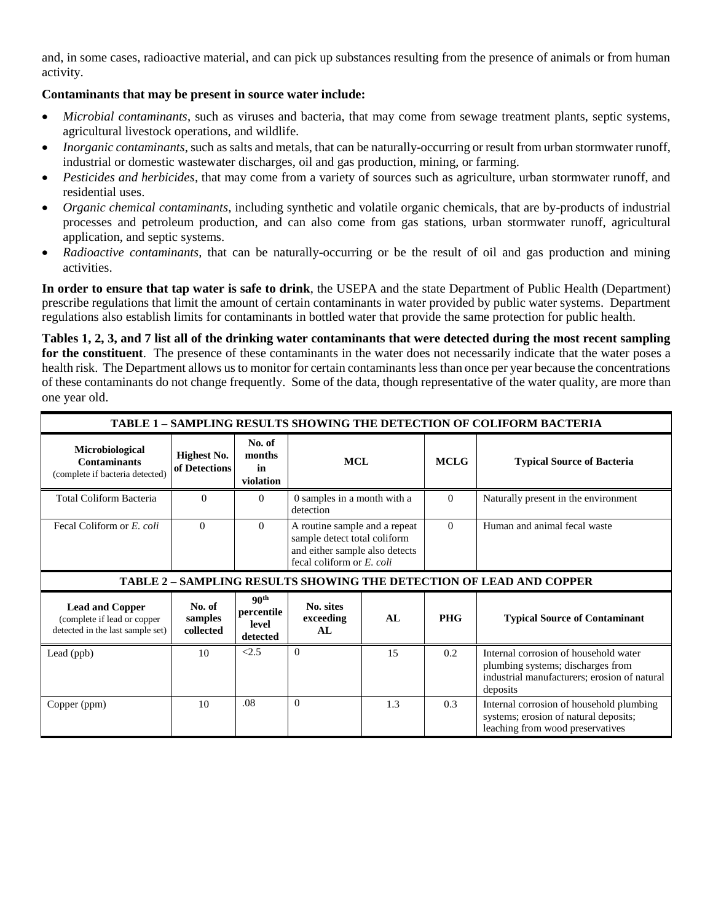and, in some cases, radioactive material, and can pick up substances resulting from the presence of animals or from human activity.

#### **Contaminants that may be present in source water include:**

- *Microbial contaminants*, such as viruses and bacteria, that may come from sewage treatment plants, septic systems, agricultural livestock operations, and wildlife.
- *Inorganic contaminants*, such as salts and metals, that can be naturally-occurring or result from urban stormwater runoff, industrial or domestic wastewater discharges, oil and gas production, mining, or farming.
- *Pesticides and herbicides*, that may come from a variety of sources such as agriculture, urban stormwater runoff, and residential uses.
- *Organic chemical contaminants*, including synthetic and volatile organic chemicals, that are by-products of industrial processes and petroleum production, and can also come from gas stations, urban stormwater runoff, agricultural application, and septic systems.
- *Radioactive contaminants*, that can be naturally-occurring or be the result of oil and gas production and mining activities.

**In order to ensure that tap water is safe to drink**, the USEPA and the state Department of Public Health (Department) prescribe regulations that limit the amount of certain contaminants in water provided by public water systems. Department regulations also establish limits for contaminants in bottled water that provide the same protection for public health.

**Tables 1, 2, 3, and 7 list all of the drinking water contaminants that were detected during the most recent sampling for the constituent**. The presence of these contaminants in the water does not necessarily indicate that the water poses a health risk. The Department allows us to monitor for certain contaminants less than once per year because the concentrations of these contaminants do not change frequently. Some of the data, though representative of the water quality, are more than one year old.

| TABLE 1 - SAMPLING RESULTS SHOWING THE DETECTION OF COLIFORM BACTERIA                     |                                |                                                                                                                                                 |                                                                                                                              |     |             |                                                                                                                                        |  |  |
|-------------------------------------------------------------------------------------------|--------------------------------|-------------------------------------------------------------------------------------------------------------------------------------------------|------------------------------------------------------------------------------------------------------------------------------|-----|-------------|----------------------------------------------------------------------------------------------------------------------------------------|--|--|
| <b>Microbiological</b><br><b>Contaminants</b><br>(complete if bacteria detected)          | Highest No.<br>of Detections   | No. of<br>months<br>in<br>violation                                                                                                             | <b>MCL</b>                                                                                                                   |     | <b>MCLG</b> | <b>Typical Source of Bacteria</b>                                                                                                      |  |  |
| <b>Total Coliform Bacteria</b>                                                            | $\Omega$                       | $\Omega$                                                                                                                                        | 0 samples in a month with a<br>detection                                                                                     |     | $\Omega$    | Naturally present in the environment                                                                                                   |  |  |
| Fecal Coliform or E. coli                                                                 | $\Omega$                       | $\Omega$                                                                                                                                        | A routine sample and a repeat<br>sample detect total coliform<br>and either sample also detects<br>fecal coliform or E. coli |     | $\Omega$    | Human and animal fecal waste                                                                                                           |  |  |
|                                                                                           |                                |                                                                                                                                                 |                                                                                                                              |     |             | TABLE 2 - SAMPLING RESULTS SHOWING THE DETECTION OF LEAD AND COPPER                                                                    |  |  |
| <b>Lead and Copper</b><br>(complete if lead or copper<br>detected in the last sample set) | No. of<br>samples<br>collected | 90 <sup>th</sup><br>No. sites<br>percentile<br><b>PHG</b><br>AI<br>exceeding<br><b>Typical Source of Contaminant</b><br>level<br>AL<br>detected |                                                                                                                              |     |             |                                                                                                                                        |  |  |
| Lead (ppb)                                                                                | 10                             | <2.5                                                                                                                                            | $\Omega$                                                                                                                     | 15  | 0.2         | Internal corrosion of household water<br>plumbing systems; discharges from<br>industrial manufacturers; erosion of natural<br>deposits |  |  |
| Copper (ppm)                                                                              | 10                             | .08                                                                                                                                             | $\Omega$                                                                                                                     | 1.3 | 0.3         | Internal corrosion of household plumbing<br>systems; erosion of natural deposits;<br>leaching from wood preservatives                  |  |  |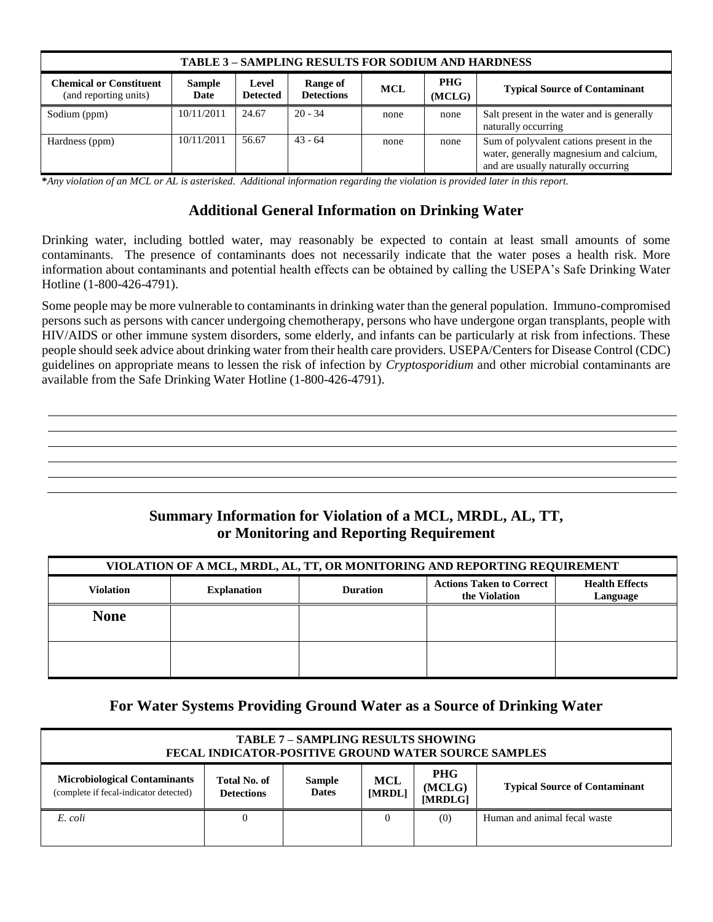| <b>TABLE 3 - SAMPLING RESULTS FOR SODIUM AND HARDNESS</b> |                                                                                                                                                                  |       |           |      |      |                                                                                                                            |  |  |
|-----------------------------------------------------------|------------------------------------------------------------------------------------------------------------------------------------------------------------------|-------|-----------|------|------|----------------------------------------------------------------------------------------------------------------------------|--|--|
| <b>Chemical or Constituent</b><br>(and reporting units)   | <b>PHG</b><br><b>Sample</b><br>Level<br>Range of<br><b>MCL</b><br><b>Typical Source of Contaminant</b><br><b>Detections</b><br><b>Detected</b><br>Date<br>(MCLG) |       |           |      |      |                                                                                                                            |  |  |
| Sodium (ppm)                                              | 10/11/2011                                                                                                                                                       | 24.67 | $20 - 34$ | none | none | Salt present in the water and is generally<br>naturally occurring                                                          |  |  |
| Hardness (ppm)                                            | 10/11/2011                                                                                                                                                       | 56.67 | $43 - 64$ | none | none | Sum of polyvalent cations present in the<br>water, generally magnesium and calcium,<br>and are usually naturally occurring |  |  |

**\****Any violation of an MCL or AL is asterisked. Additional information regarding the violation is provided later in this report.*

### **Additional General Information on Drinking Water**

Drinking water, including bottled water, may reasonably be expected to contain at least small amounts of some contaminants. The presence of contaminants does not necessarily indicate that the water poses a health risk. More information about contaminants and potential health effects can be obtained by calling the USEPA's Safe Drinking Water Hotline (1-800-426-4791).

Some people may be more vulnerable to contaminants in drinking water than the general population. Immuno-compromised persons such as persons with cancer undergoing chemotherapy, persons who have undergone organ transplants, people with HIV/AIDS or other immune system disorders, some elderly, and infants can be particularly at risk from infections. These people should seek advice about drinking water from their health care providers. USEPA/Centers for Disease Control (CDC) guidelines on appropriate means to lessen the risk of infection by *Cryptosporidium* and other microbial contaminants are available from the Safe Drinking Water Hotline (1-800-426-4791).

#### **Summary Information for Violation of a MCL, MRDL, AL, TT, or Monitoring and Reporting Requirement**

| VIOLATION OF A MCL, MRDL, AL, TT, OR MONITORING AND REPORTING REQUIREMENT |                    |                 |                                                  |                                   |  |  |  |
|---------------------------------------------------------------------------|--------------------|-----------------|--------------------------------------------------|-----------------------------------|--|--|--|
| <b>Violation</b>                                                          | <b>Explanation</b> | <b>Duration</b> | <b>Actions Taken to Correct</b><br>the Violation | <b>Health Effects</b><br>Language |  |  |  |
| <b>None</b>                                                               |                    |                 |                                                  |                                   |  |  |  |
|                                                                           |                    |                 |                                                  |                                   |  |  |  |

## **For Water Systems Providing Ground Water as a Source of Drinking Water**

| <b>TABLE 7 - SAMPLING RESULTS SHOWING</b><br>FECAL INDICATOR-POSITIVE GROUND WATER SOURCE SAMPLES                                                                                                                                               |          |  |  |     |                              |  |
|-------------------------------------------------------------------------------------------------------------------------------------------------------------------------------------------------------------------------------------------------|----------|--|--|-----|------------------------------|--|
| <b>PHG</b><br><b>Microbiological Contaminants</b><br>Total No. of<br>MCL<br><b>Sample</b><br><b>Typical Source of Contaminant</b><br>(MCLG)<br>(complete if fecal-indicator detected)<br><b>Dates</b><br>[MRDL]<br><b>Detections</b><br>[MRDLG] |          |  |  |     |                              |  |
| E. coli                                                                                                                                                                                                                                         | $\Omega$ |  |  | (0) | Human and animal fecal waste |  |